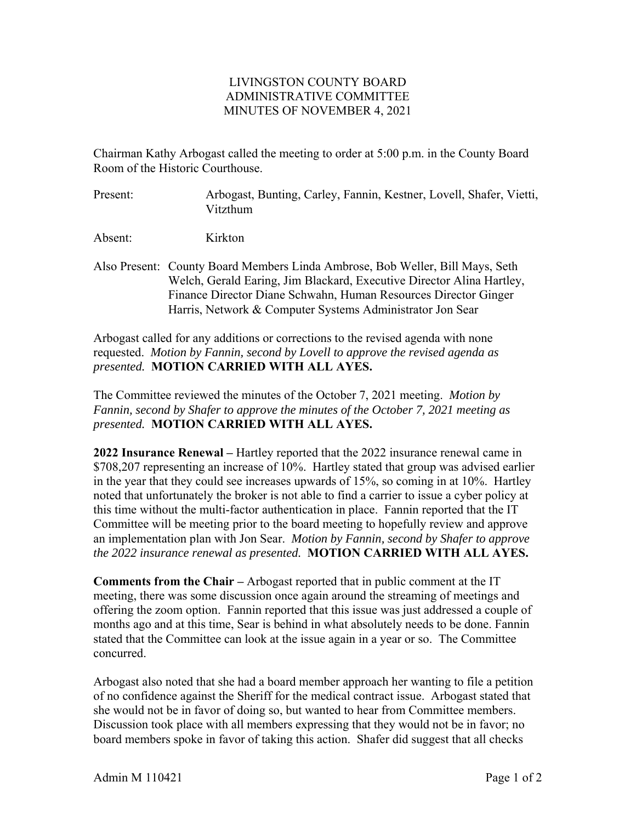## LIVINGSTON COUNTY BOARD ADMINISTRATIVE COMMITTEE MINUTES OF NOVEMBER 4, 2021

Chairman Kathy Arbogast called the meeting to order at 5:00 p.m. in the County Board Room of the Historic Courthouse.

Present: Arbogast, Bunting, Carley, Fannin, Kestner, Lovell, Shafer, Vietti, Vitzthum

Absent: Kirkton

Also Present: County Board Members Linda Ambrose, Bob Weller, Bill Mays, Seth Welch, Gerald Earing, Jim Blackard, Executive Director Alina Hartley, Finance Director Diane Schwahn, Human Resources Director Ginger Harris, Network & Computer Systems Administrator Jon Sear

Arbogast called for any additions or corrections to the revised agenda with none requested. *Motion by Fannin, second by Lovell to approve the revised agenda as presented.* **MOTION CARRIED WITH ALL AYES.** 

The Committee reviewed the minutes of the October 7, 2021 meeting. *Motion by Fannin, second by Shafer to approve the minutes of the October 7, 2021 meeting as presented.* **MOTION CARRIED WITH ALL AYES.** 

**2022 Insurance Renewal –** Hartley reported that the 2022 insurance renewal came in \$708,207 representing an increase of 10%. Hartley stated that group was advised earlier in the year that they could see increases upwards of 15%, so coming in at 10%. Hartley noted that unfortunately the broker is not able to find a carrier to issue a cyber policy at this time without the multi-factor authentication in place. Fannin reported that the IT Committee will be meeting prior to the board meeting to hopefully review and approve an implementation plan with Jon Sear. *Motion by Fannin, second by Shafer to approve the 2022 insurance renewal as presented.* **MOTION CARRIED WITH ALL AYES.** 

**Comments from the Chair –** Arbogast reported that in public comment at the IT meeting, there was some discussion once again around the streaming of meetings and offering the zoom option. Fannin reported that this issue was just addressed a couple of months ago and at this time, Sear is behind in what absolutely needs to be done. Fannin stated that the Committee can look at the issue again in a year or so. The Committee concurred.

Arbogast also noted that she had a board member approach her wanting to file a petition of no confidence against the Sheriff for the medical contract issue. Arbogast stated that she would not be in favor of doing so, but wanted to hear from Committee members. Discussion took place with all members expressing that they would not be in favor; no board members spoke in favor of taking this action. Shafer did suggest that all checks